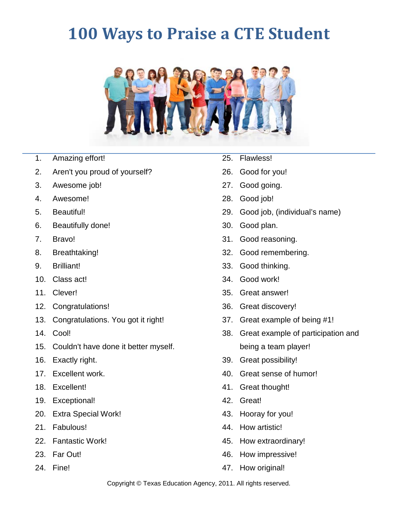## **100 Ways to Praise a CTE Student**



## 1. Amazing effort!

- 2. Aren't you proud of yourself?
- 3. Awesome job!
- 4. Awesome!
- 5. Beautiful!
- 6. Beautifully done!
- 7. Bravo!
- 8. Breathtaking!
- 9. Brilliant!
- 10. Class act!
- 11. Clever!
- 12. Congratulations!
- 13. Congratulations. You got it right!
- 14. Cool!
- 15. Couldn't have done it better myself.
- 16. Exactly right.
- 17. Excellent work.
- 18. Excellent!
- 19. Exceptional!
- 20. Extra Special Work!
- 21. Fabulous!
- 22. Fantastic Work!
- 23. Far Out!
- 24. Fine!
- 25. Flawless!
- 26. Good for you!
- 27. Good going.
- 28. Good job!
- 29. Good job, (individual's name)
- 30. Good plan.
- 31. Good reasoning.
- 32. Good remembering.
- 33. Good thinking.
- 34. Good work!
- 35. Great answer!
- 36. Great discovery!
- 37. Great example of being #1!
- 38. Great example of participation and being a team player!
- 39. Great possibility!
- 40. Great sense of humor!
- 41. Great thought!
- 42. Great!
- 43. Hooray for you!
- 44. How artistic!
- 45. How extraordinary!
- 46. How impressive!
- 47. How original!